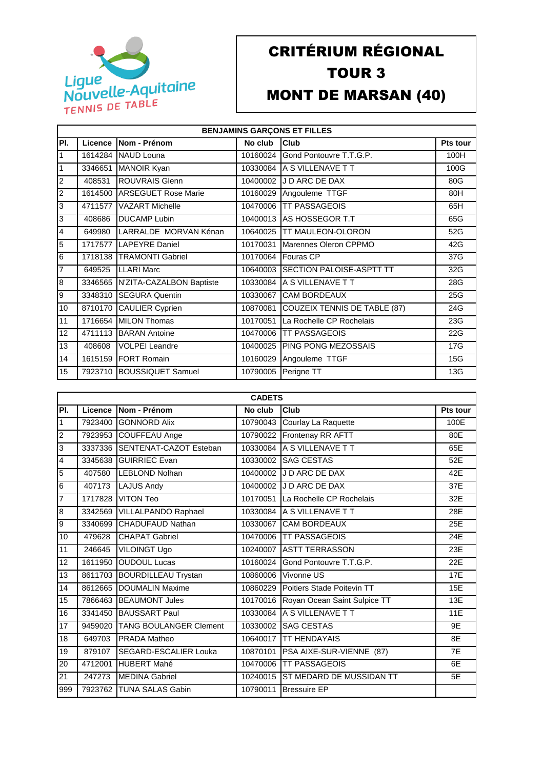

## CRITÉRIUM RÉGIONAL TOUR 3 MONT DE MARSAN (40)

| <b>BENJAMINS GARÇONS ET FILLES</b> |         |                                  |          |                                  |                 |  |
|------------------------------------|---------|----------------------------------|----------|----------------------------------|-----------------|--|
| PI.                                | Licence | <b>Nom - Prénom</b>              | No club  | Club                             | <b>Pts tour</b> |  |
| 1                                  | 1614284 | <b>NAUD Louna</b>                | 10160024 | Gond Pontouvre T.T.G.P.          | 100H            |  |
| $\mathbf{1}$                       | 3346651 | <b>MANOIR Kyan</b>               |          | 10330084 A S VILLENAVE T T       | 100G            |  |
| $\overline{2}$                     | 408531  | <b>ROUVRAIS Glenn</b>            | 10400002 | J D ARC DE DAX                   | 80G             |  |
| 2                                  |         | 1614500 ARSEGUET Rose Marie      | 10160029 | Angouleme TTGF                   | 80H             |  |
| 3                                  | 4711577 | <b>VAZART Michelle</b>           | 10470006 | <b>TT PASSAGEOIS</b>             | 65H             |  |
| 3                                  | 408686  | <b>DUCAMP Lubin</b>              | 10400013 | <b>AS HOSSEGOR T.T</b>           | 65G             |  |
| $\overline{4}$                     | 649980  | LARRALDE MORVAN Kénan            | 10640025 | <b>TT MAULEON-OLORON</b>         | 52G             |  |
| $\overline{5}$                     | 1717577 | <b>LAPEYRE Daniel</b>            | 10170031 | Marennes Oleron CPPMO            | 42G             |  |
| 6                                  | 1718138 | <b>TRAMONTI Gabriel</b>          | 10170064 | <b>Fouras CP</b>                 | 37G             |  |
| $\overline{7}$                     | 649525  | <b>LLARI Marc</b>                | 10640003 | <b>ISECTION PALOISE-ASPTT TT</b> | 32G             |  |
| $\overline{8}$                     |         | 3346565 N'ZITA-CAZALBON Baptiste | 10330084 | <b>A S VILLENAVE T T</b>         | 28G             |  |
| 9                                  | 3348310 | <b>ISEGURA Quentin</b>           | 10330067 | <b>CAM BORDEAUX</b>              | 25G             |  |
| 10                                 | 8710170 | <b>CAULIER Cyprien</b>           | 10870081 | COUZEIX TENNIS DE TABLE (87)     | 24G             |  |
| 11                                 | 1716654 | <b>MILON Thomas</b>              | 10170051 | La Rochelle CP Rochelais         | 23G             |  |
| $\overline{12}$                    | 4711113 | <b>BARAN</b> Antoine             | 10470006 | <b>TT PASSAGEOIS</b>             | 22G             |  |
| 13                                 | 408608  | <b>VOLPEI Leandre</b>            | 10400025 | <b>PING PONG MEZOSSAIS</b>       | 17G             |  |
| 14                                 |         | 1615159 FORT Romain              | 10160029 | Angouleme TTGF                   | 15G             |  |
| 15                                 | 7923710 | <b>BOUSSIQUET Samuel</b>         | 10790005 | Perigne TT                       | 13G             |  |

|                | <b>CADETS</b> |                               |          |                                       |          |  |  |
|----------------|---------------|-------------------------------|----------|---------------------------------------|----------|--|--|
| PI.            | Licence       | Nom - Prénom                  | No club  | Club                                  | Pts tour |  |  |
| $\mathbf{1}$   | 7923400       | <b>GONNORD Alix</b>           | 10790043 | Courlay La Raquette                   | 100E     |  |  |
| 2              | 7923953       | COUFFEAU Ange                 | 10790022 | Frontenay RR AFTT                     | 80E      |  |  |
| 3              | 3337336       | SENTENAT-CAZOT Esteban        | 10330084 | A S VILLENAVE T T                     | 65E      |  |  |
| 4              | 3345638       | <b>IGUIRRIEC Evan</b>         |          | 10330002 SAG CESTAS                   | 52E      |  |  |
| 5              | 407580        | <b>LEBLOND Nolhan</b>         |          | 10400002 J D ARC DE DAX               | 42E      |  |  |
| $\overline{6}$ | 407173        | <b>LAJUS Andy</b>             |          | 10400002 J D ARC DE DAX               | 37E      |  |  |
| 7              | 1717828       | <b>VITON Teo</b>              |          | 10170051 La Rochelle CP Rochelais     | 32E      |  |  |
| 8              | 3342569       | <b>VILLALPANDO Raphael</b>    |          | 10330084 A S VILLENAVE T T            | 28E      |  |  |
| 9              | 3340699       | CHADUFAUD Nathan              |          | 10330067 CAM BORDEAUX                 | 25E      |  |  |
| 10             | 479628        | <b>CHAPAT Gabriel</b>         | 10470006 | <b>TT PASSAGEOIS</b>                  | 24E      |  |  |
| 11             | 246645        | VILOINGT Ugo                  |          | 10240007 ASTT TERRASSON               | 23E      |  |  |
| 12             | 1611950       | <b>OUDOUL Lucas</b>           |          | 10160024 Gond Pontouvre T.T.G.P.      | 22E      |  |  |
| 13             | 8611703       | <b>BOURDILLEAU Trystan</b>    | 10860006 | Vivonne US                            | 17E      |  |  |
| 14             | 8612665       | DOUMALIN Maxime               | 10860229 | Poitiers Stade Poitevin TT            | 15E      |  |  |
| 15             | 7866463       | <b>BEAUMONT Jules</b>         |          | 10170016 Royan Ocean Saint Sulpice TT | 13E      |  |  |
| 16             | 3341450       | <b>BAUSSART Paul</b>          |          | 10330084 A S VILLENAVE T T            | 11E      |  |  |
| 17             | 9459020       | <b>TANG BOULANGER Clement</b> | 10330002 | <b>SAG CESTAS</b>                     | 9E       |  |  |
| 18             | 649703        | PRADA Matheo                  | 10640017 | <b>TT HENDAYAIS</b>                   | 8E       |  |  |
| 19             | 879107        | SEGARD-ESCALIER Louka         |          | 10870101   PSA AIXE-SUR-VIENNE (87)   | 7E       |  |  |
| 20             | 4712001       | <b>HUBERT Mahé</b>            |          | 10470006 TT PASSAGEOIS                | 6E       |  |  |
| 21             | 247273        | <b>MEDINA Gabriel</b>         |          | 10240015 IST MEDARD DE MUSSIDAN TT    | 5E       |  |  |
| 999            |               | 7923762 TUNA SALAS Gabin      |          | 10790011 Bressuire EP                 |          |  |  |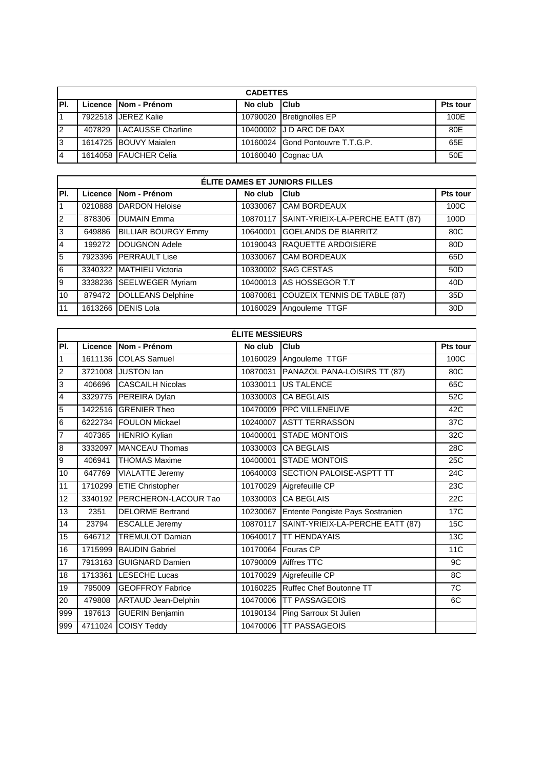|      | <b>CADETTES</b> |                          |              |                                  |                 |  |
|------|-----------------|--------------------------|--------------|----------------------------------|-----------------|--|
| IPI. |                 | Licence Nom - Prénom     | No club Club |                                  | <b>Pts tour</b> |  |
|      |                 | 7922518 JEREZ Kalie      |              | 10790020 Bretignolles EP         | 100E            |  |
| 12   |                 | 407829 LACAUSSE Charline |              | 10400002 J D ARC DE DAX          | 80E             |  |
| I3   |                 | 1614725 BOUVY Maialen    |              | 10160024 Gond Pontouvre T.T.G.P. | 65E             |  |
|      |                 | 1614058 FAUCHER Celia    |              | 10160040 Cognac UA               | 50E             |  |

|                | <b>ÉLITE DAMES ET JUNIORS FILLES</b> |                            |          |                                           |                 |  |  |
|----------------|--------------------------------------|----------------------------|----------|-------------------------------------------|-----------------|--|--|
| IPI.           |                                      | Licence Nom - Prénom       | No club  | <b>Club</b>                               | Pts tour        |  |  |
| $\overline{1}$ | 0210888                              | DARDON Heloise             | 10330067 | <b>CAM BORDEAUX</b>                       | 100C            |  |  |
| 2              | 878306                               | <b>DUMAIN Emma</b>         |          | 10870117 SAINT-YRIEIX-LA-PERCHE EATT (87) | 100D            |  |  |
| 3              | 649886                               | <b>BILLIAR BOURGY Emmy</b> | 10640001 | <b>GOELANDS DE BIARRITZ</b>               | 80C             |  |  |
| 14             | 199272                               | <b>DOUGNON Adele</b>       |          | 10190043 RAQUETTE ARDOISIERE              | 80 <sub>D</sub> |  |  |
| 5              |                                      | 7923396 PERRAULT Lise      | 10330067 | <b>CAM BORDEAUX</b>                       | 65D             |  |  |
| 6              |                                      | 3340322 MATHIEU Victoria   | 10330002 | <b>SAG CESTAS</b>                         | 50 <sub>D</sub> |  |  |
| 9              | 3338236                              | <b>SEELWEGER Myriam</b>    | 10400013 | AS HOSSEGOR T.T                           | 40 <sub>D</sub> |  |  |
| 10             | 879472                               | <b>DOLLEANS Delphine</b>   | 10870081 | <b>COUZEIX TENNIS DE TABLE (87)</b>       | 35D             |  |  |
| 11             | 1613266                              | <b>DENIS Lola</b>          | 10160029 | Angouleme TTGF                            | 30D             |  |  |

|                         | <b>ÉLITE MESSIEURS</b> |                            |          |                                           |            |  |  |  |
|-------------------------|------------------------|----------------------------|----------|-------------------------------------------|------------|--|--|--|
| PI.                     | Licence                | Nom - Prénom               | No club  | Club                                      | Pts tour   |  |  |  |
| 1                       |                        | 1611136 COLAS Samuel       | 10160029 | Angouleme TTGF                            | 100C       |  |  |  |
| 2                       | 3721008                | <b>JUSTON</b> lan          | 10870031 | PANAZOL PANA-LOISIRS TT (87)              | 80C        |  |  |  |
| 3                       | 406696                 | <b>CASCAILH Nicolas</b>    | 10330011 | <b>US TALENCE</b>                         | 65C        |  |  |  |
| $\overline{\mathbf{4}}$ | 3329775                | PEREIRA Dylan              |          | 10330003 CA BEGLAIS                       | 52C        |  |  |  |
| $\overline{5}$          | 1422516                | <b>GRENIER Theo</b>        |          | 10470009 PPC VILLENEUVE                   | 42C        |  |  |  |
| 6                       | 6222734                | <b>FOULON Mickael</b>      |          | 10240007 ASTT TERRASSON                   | 37C        |  |  |  |
| 7                       | 407365                 | <b>HENRIO Kylian</b>       |          | 10400001 STADE MONTOIS                    | 32C        |  |  |  |
| 8                       | 3332097                | <b>MANCEAU Thomas</b>      |          | 10330003 ICA BEGLAIS                      | 28C        |  |  |  |
| o                       | 406941                 | <b>THOMAS Maxime</b>       |          | 10400001 STADE MONTOIS                    | 25C        |  |  |  |
| 10                      | 647769                 | <b>VIALATTE Jeremy</b>     |          | 10640003 SECTION PALOISE-ASPTT TT         | 24C        |  |  |  |
| 11                      | 1710299                | <b>ETIE Christopher</b>    | 10170029 | Aigrefeuille CP                           | 23C        |  |  |  |
| 12                      | 3340192                | PERCHERON-LACOUR Tao       |          | 10330003 CA BEGLAIS                       | <b>22C</b> |  |  |  |
| $\overline{13}$         | 2351                   | <b>DELORME Bertrand</b>    |          | 10230067 Entente Pongiste Pays Sostranien | 17C        |  |  |  |
| 14                      | 23794                  | <b>ESCALLE Jeremy</b>      |          | 10870117 SAINT-YRIEIX-LA-PERCHE EATT (87) | 15C        |  |  |  |
| 15                      | 646712                 | <b>TREMULOT Damian</b>     | 10640017 | <b>TT HENDAYAIS</b>                       | 13C        |  |  |  |
| 16                      | 1715999                | <b>BAUDIN Gabriel</b>      |          | 10170064 Fouras CP                        | <b>11C</b> |  |  |  |
| 17                      | 7913163                | <b>GUIGNARD Damien</b>     | 10790009 | Aiffres TTC                               | 9C         |  |  |  |
| 18                      | 1713361                | <b>ILESECHE Lucas</b>      | 10170029 | Aigrefeuille CP                           | 8C         |  |  |  |
| 19                      | 795009                 | <b>GEOFFROY Fabrice</b>    | 10160225 | Ruffec Chef Boutonne TT                   | 7C         |  |  |  |
| $\overline{20}$         | 479808                 | <b>ARTAUD Jean-Delphin</b> | 10470006 | <b>TT PASSAGEOIS</b>                      | 6C         |  |  |  |
| 999                     | 197613                 | <b>GUERIN Benjamin</b>     | 10190134 | Ping Sarroux St Julien                    |            |  |  |  |
| 999                     | 4711024                | <b>COISY Teddy</b>         | 10470006 | <b>TT PASSAGEOIS</b>                      |            |  |  |  |